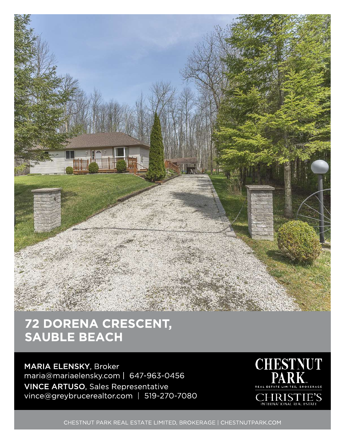

MARIA ELENSKY, Broker maria@mariaelensky.com | 647-963-0 456 VINCE ARTUSO, Sales Representative vince@greybrucerealtor.com | 519-270-7080



CHESTNUT PARK REAL ESTATE LIMITED, BROKERAGE | CHESTNUTPARK.COM